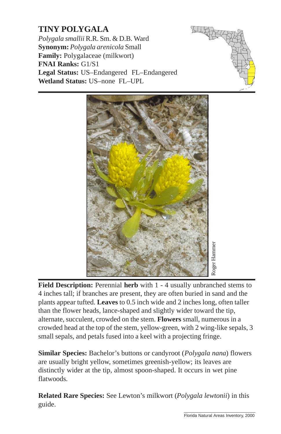## **TINY POLYGALA**

*Polygala smallii* R.R. Sm. & D.B. Ward **Synonym:** *Polygala arenicola* Small **Family:** Polygalaceae (milkwort) **FNAI Ranks:** G1/S1 **Legal Status:** US–Endangered FL–Endangered **Wetland Status:** US–none FL–UPL





**Field Description:** Perennial **herb** with 1 - 4 usua[lly unbranched stems to](http://www.fnai.org) 4 inches tall; if branches are present, they are often buried in sand and the plants appear tufted. **Leaves** to 0.5 inch wide and 2 inches long, often taller than the flower heads, lance-shaped and slightly wider toward the tip, alternate, succulent, crowded on the stem. **Flowers** small, numerous in a crowded head at the top of the stem, yellow-green, with 2 wing-like sepals, 3 small sepals, and petals fused into a keel with a projecting fringe. From the same of the same of the same of the same of the same of the same of the same of the same of the same of the same of the same of the same of the same of the same of the same of the same of the same of the same of t

**Similar Species:** Bachelor's buttons or candyroot (*Polygala nana*) flowers are usually bright yellow, sometimes greenish-yellow; its leaves are distinctly wider at the tip, almost spoon-shaped. It occurs in wet pine flatwoods.

**Related Rare Species:** See Lewton's milkwort (*Polygala lewtonii*) in this guide.